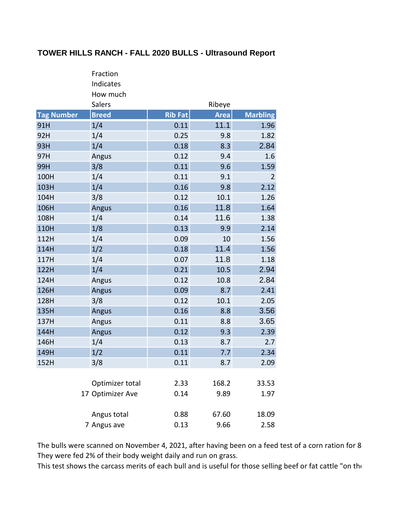## **TOWER HILLS RANCH - FALL 2020 BULLS - Ultrasound Report**

|                   | Fraction         |                |             |                 |
|-------------------|------------------|----------------|-------------|-----------------|
|                   | Indicates        |                |             |                 |
|                   | How much         |                |             |                 |
|                   | <b>Salers</b>    |                | Ribeye      |                 |
| <b>Tag Number</b> | <b>Breed</b>     | <b>Rib Fat</b> | <b>Area</b> | <b>Marbling</b> |
| 91H               | 1/4              | 0.11           | 11.1        | 1.96            |
| 92H               | 1/4              | 0.25           | 9.8         | 1.82            |
| 93H               | 1/4              | 0.18           | 8.3         | 2.84            |
| 97H               | Angus            | 0.12           | 9.4         | 1.6             |
| 99H               | 3/8              | 0.11           | 9.6         | 1.59            |
| 100H              | 1/4              | 0.11           | 9.1         | $\overline{2}$  |
| 103H              | 1/4              | 0.16           | 9.8         | 2.12            |
| 104H              | 3/8              | 0.12           | 10.1        | 1.26            |
| 106H              | Angus            | 0.16           | 11.8        | 1.64            |
| 108H              | 1/4              | 0.14           | 11.6        | 1.38            |
| 110H              | 1/8              | 0.13           | 9.9         | 2.14            |
| 112H              | 1/4              | 0.09           | 10          | 1.56            |
| 114H              | 1/2              | 0.18           | 11.4        | 1.56            |
| 117H              | 1/4              | 0.07           | 11.8        | 1.18            |
| 122H              | 1/4              | 0.21           | 10.5        | 2.94            |
| 124H              | Angus            | 0.12           | 10.8        | 2.84            |
| 126H              | <b>Angus</b>     | 0.09           | 8.7         | 2.41            |
| 128H              | 3/8              | 0.12           | 10.1        | 2.05            |
| 135H              | Angus            | 0.16           | 8.8         | 3.56            |
| 137H              | Angus            | 0.11           | 8.8         | 3.65            |
| 144H              | Angus            | 0.12           | 9.3         | 2.39            |
| 146H              | 1/4              | 0.13           | 8.7         | 2.7             |
| 149H              | 1/2              | 0.11           | 7.7         | 2.34            |
| 152H              | 3/8              | 0.11           | 8.7         | 2.09            |
|                   |                  |                |             |                 |
|                   | Optimizer total  | 2.33           | 168.2       | 33.53           |
|                   | 17 Optimizer Ave | 0.14           | 9.89        | 1.97            |
|                   | Angus total      | 0.88           | 67.60       | 18.09           |
|                   | 7 Angus ave      | 0.13           | 9.66        | 2.58            |

The bulls were scanned on November 4, 2021, after having been on a feed test of a corn ration for 8 They were fed 2% of their body weight daily and run on grass.

This test shows the carcass merits of each bull and is useful for those selling beef or fat cattle "on the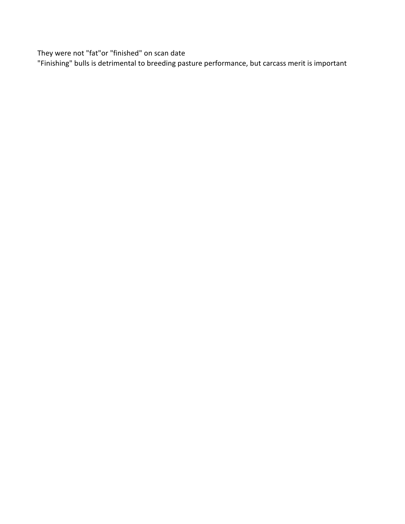They were not "fat"or "finished" on scan date

"Finishing" bulls is detrimental to breeding pasture performance, but carcass merit is important